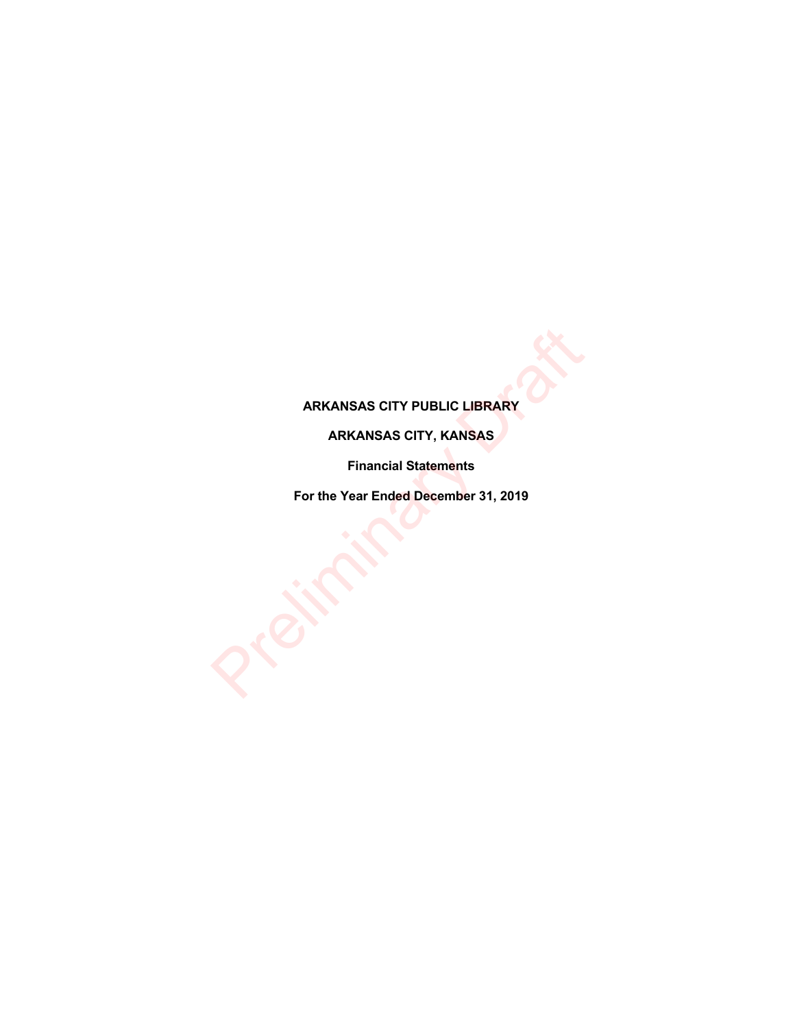# **ARKANSAS CITY PUBLIC LIBRARY**

# **ARKANSAS CITY, KANSAS**

**Financial Statements**

**For the Year Ended December 31, 2019** ARKANSAS CITY PUBLIC LIBRARY<br>
ARKANSAS CITY, KANSAS<br>
Financial Statements<br>
For the Year Ended December 31, 2019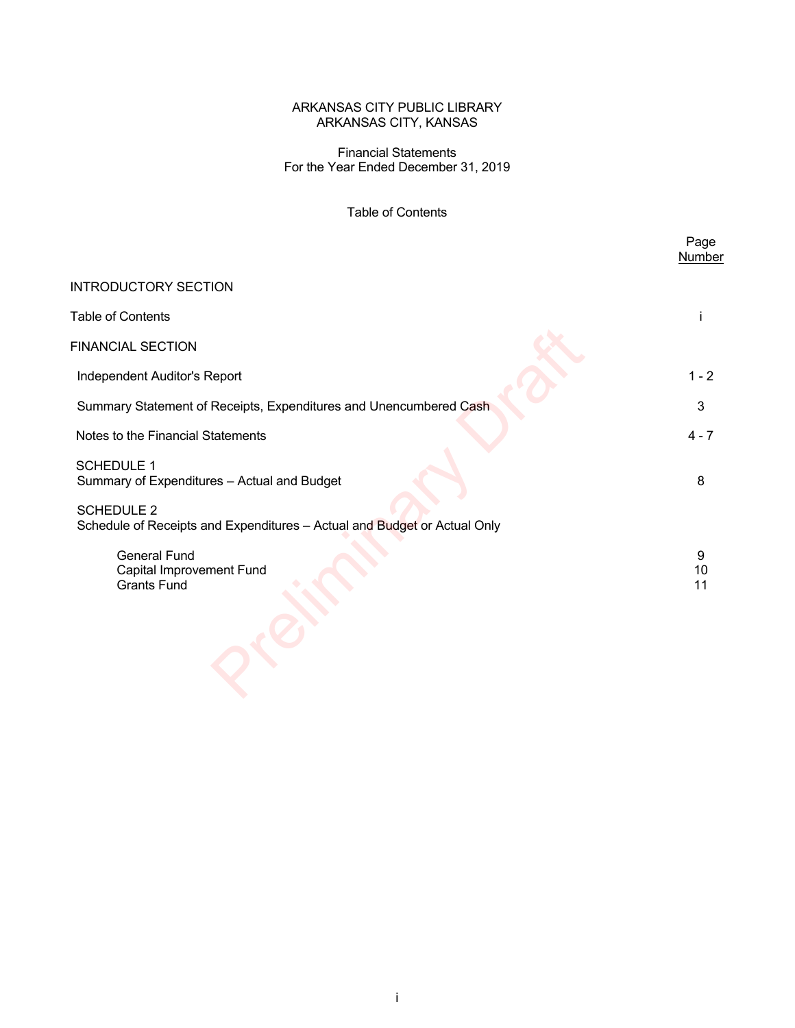Financial Statements For the Year Ended December 31, 2019

# Table of Contents

|                                                                                               | Page<br><b>Number</b> |
|-----------------------------------------------------------------------------------------------|-----------------------|
| <b>INTRODUCTORY SECTION</b>                                                                   |                       |
| <b>Table of Contents</b>                                                                      |                       |
| <b>FINANCIAL SECTION</b>                                                                      |                       |
| Independent Auditor's Report                                                                  | $1 - 2$               |
| Summary Statement of Receipts, Expenditures and Unencumbered Cash                             | 3                     |
| Notes to the Financial Statements                                                             | $4 - 7$               |
| <b>SCHEDULE 1</b><br>Summary of Expenditures - Actual and Budget                              | 8                     |
| <b>SCHEDULE 2</b><br>Schedule of Receipts and Expenditures - Actual and Budget or Actual Only |                       |
| <b>General Fund</b><br>Capital Improvement Fund<br><b>Grants Fund</b>                         | 9<br>10<br>11         |
|                                                                                               |                       |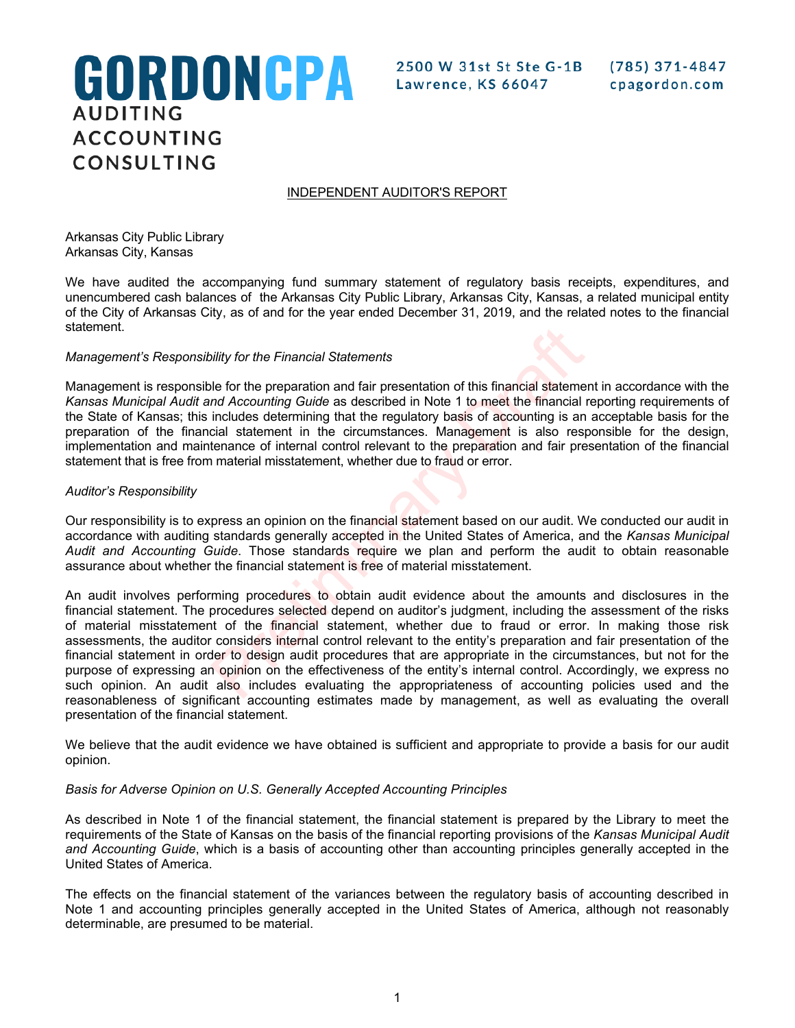# GORDONCPA **AUDITING ACCOUNTING** CONSULTING

2500 W 31st St Ste G-1B Lawrence, KS 66047

# INDEPENDENT AUDITOR'S REPORT

Arkansas City Public Library Arkansas City, Kansas

We have audited the accompanying fund summary statement of regulatory basis receipts, expenditures, and unencumbered cash balances of the Arkansas City Public Library, Arkansas City, Kansas, a related municipal entity of the City of Arkansas City, as of and for the year ended December 31, 2019, and the related notes to the financial statement.

# *Management's Responsibility for the Financial Statements*

Management is responsible for the preparation and fair presentation of this financial statement in accordance with the *Kansas Municipal Audit and Accounting Guide* as described in Note 1 to meet the financial reporting requirements of the State of Kansas; this includes determining that the regulatory basis of accounting is an acceptable basis for the preparation of the financial statement in the circumstances. Management is also responsible for the design, implementation and maintenance of internal control relevant to the preparation and fair presentation of the financial statement that is free from material misstatement, whether due to fraud or error.

## *Auditor's Responsibility*

Our responsibility is to express an opinion on the financial statement based on our audit. We conducted our audit in accordance with auditing standards generally accepted in the United States of America, and the *Kansas Municipal Audit and Accounting Guide*. Those standards require we plan and perform the audit to obtain reasonable assurance about whether the financial statement is free of material misstatement.

An audit involves performing procedures to obtain audit evidence about the amounts and disclosures in the financial statement. The procedures selected depend on auditor's judgment, including the assessment of the risks of material misstatement of the financial statement, whether due to fraud or error. In making those risk assessments, the auditor considers internal control relevant to the entity's preparation and fair presentation of the financial statement in order to design audit procedures that are appropriate in the circumstances, but not for the purpose of expressing an opinion on the effectiveness of the entity's internal control. Accordingly, we express no such opinion. An audit also includes evaluating the appropriateness of accounting policies used and the reasonableness of significant accounting estimates made by management, as well as evaluating the overall presentation of the financial statement. by for the Financial Statements<br>
ble for the preparation and fair presentation of this financial statement<br>
ble for the preparation and fair presentation of this financial statement<br>
includes determining that the regulator

We believe that the audit evidence we have obtained is sufficient and appropriate to provide a basis for our audit opinion.

# *Basis for Adverse Opinion on U.S. Generally Accepted Accounting Principles*

As described in Note 1 of the financial statement, the financial statement is prepared by the Library to meet the requirements of the State of Kansas on the basis of the financial reporting provisions of the *Kansas Municipal Audit and Accounting Guide*, which is a basis of accounting other than accounting principles generally accepted in the United States of America.

The effects on the financial statement of the variances between the regulatory basis of accounting described in Note 1 and accounting principles generally accepted in the United States of America, although not reasonably determinable, are presumed to be material.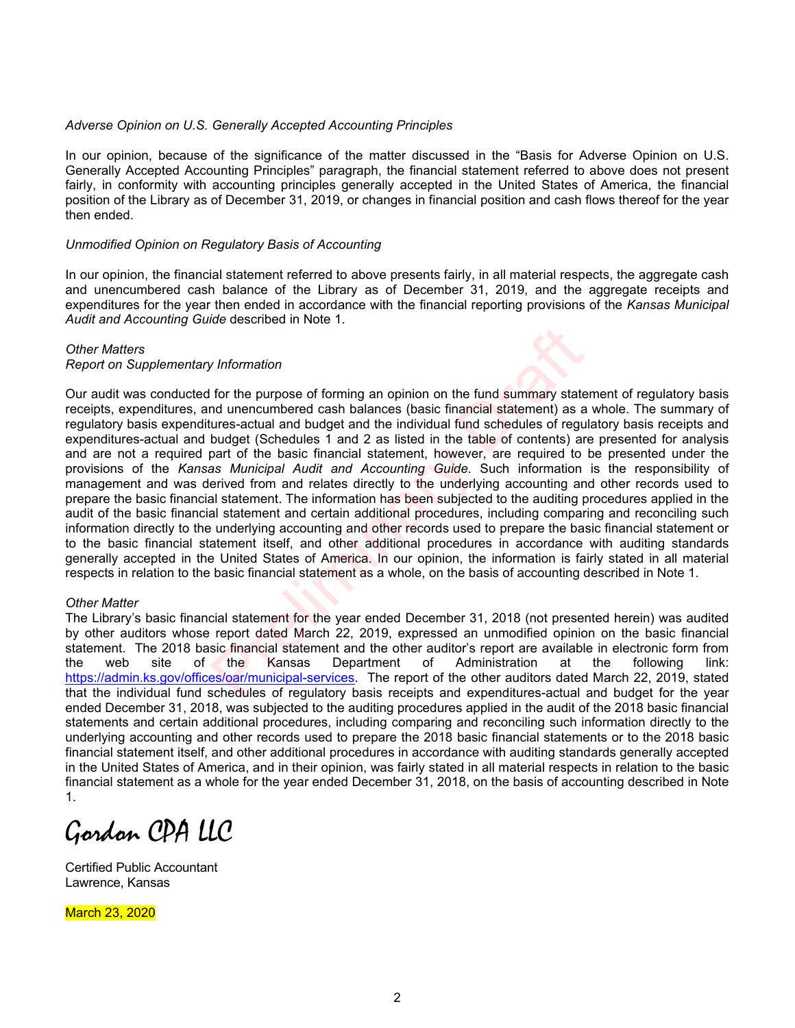## *Adverse Opinion on U.S. Generally Accepted Accounting Principles*

In our opinion, because of the significance of the matter discussed in the "Basis for Adverse Opinion on U.S. Generally Accepted Accounting Principles" paragraph, the financial statement referred to above does not present fairly, in conformity with accounting principles generally accepted in the United States of America, the financial position of the Library as of December 31, 2019, or changes in financial position and cash flows thereof for the year then ended.

## *Unmodified Opinion on Regulatory Basis of Accounting*

In our opinion, the financial statement referred to above presents fairly, in all material respects, the aggregate cash and unencumbered cash balance of the Library as of December 31, 2019, and the aggregate receipts and expenditures for the year then ended in accordance with the financial reporting provisions of the *Kansas Municipal Audit and Accounting Guide* described in Note 1.

#### *Other Matters*

#### *Report on Supplementary Information*

Our audit was conducted for the purpose of forming an opinion on the fund summary statement of regulatory basis receipts, expenditures, and unencumbered cash balances (basic financial statement) as a whole. The summary of regulatory basis expenditures-actual and budget and the individual fund schedules of regulatory basis receipts and expenditures-actual and budget (Schedules 1 and 2 as listed in the table of contents) are presented for analysis and are not a required part of the basic financial statement, however, are required to be presented under the provisions of the *Kansas Municipal Audit and Accounting Guide*. Such information is the responsibility of management and was derived from and relates directly to the underlying accounting and other records used to prepare the basic financial statement. The information has been subjected to the auditing procedures applied in the audit of the basic financial statement and certain additional procedures, including comparing and reconciling such information directly to the underlying accounting and other records used to prepare the basic financial statement or to the basic financial statement itself, and other additional procedures in accordance with auditing standards generally accepted in the United States of America. In our opinion, the information is fairly stated in all material respects in relation to the basic financial statement as a whole, on the basis of accounting described in Note 1. *x* Information<br>for the purpose of forming an opinion on the fund summary state<br>of unencumbered cash balances (basic financial statement) as a<br>ures-actual and budget and the individual fund schedules of reguive<br>budget (Sc

#### *Other Matter*

The Library's basic financial statement for the year ended December 31, 2018 (not presented herein) was audited by other auditors whose report dated March 22, 2019, expressed an unmodified opinion on the basic financial statement. The 2018 basic financial statement and the other auditor's report are available in electronic form from the web site of the Kansas Department of Administration at the following link: https://admin.ks.gov/offices/oar/municipal-services. The report of the other auditors dated March 22, 2019, stated that the individual fund schedules of regulatory basis receipts and expenditures-actual and budget for the year ended December 31, 2018, was subjected to the auditing procedures applied in the audit of the 2018 basic financial statements and certain additional procedures, including comparing and reconciling such information directly to the underlying accounting and other records used to prepare the 2018 basic financial statements or to the 2018 basic financial statement itself, and other additional procedures in accordance with auditing standards generally accepted in the United States of America, and in their opinion, was fairly stated in all material respects in relation to the basic financial statement as a whole for the year ended December 31, 2018, on the basis of accounting described in Note 1.

Gordon CPA LLC

Certified Public Accountant Lawrence, Kansas

March 23, 2020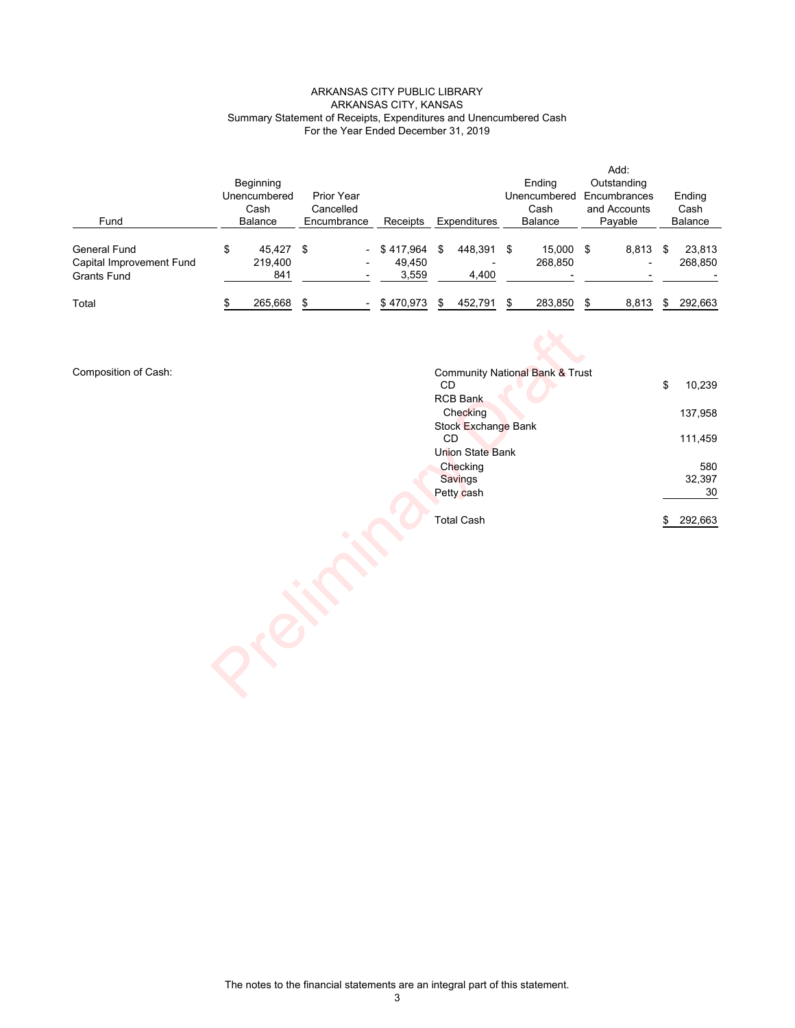#### ARKANSAS CITY, KANSAS ARKANSAS CITY PUBLIC LIBRARY Summary Statement of Receipts, Expenditures and Unencumbered Cash For the Year Ended December 31, 2019

|                          |                 |             |               |   |                     |      |                |    | Add:         |   |                |
|--------------------------|-----------------|-------------|---------------|---|---------------------|------|----------------|----|--------------|---|----------------|
|                          | Beginning       |             |               |   |                     |      | Endina         |    | Outstanding  |   |                |
|                          | Unencumbered    | Prior Year  |               |   |                     |      | Unencumbered   |    | Encumbrances |   | Ending         |
|                          | Cash            | Cancelled   |               |   |                     |      | Cash           |    | and Accounts |   | Cash           |
| Fund                     | <b>Balance</b>  | Encumbrance | Receipts      |   | <b>Expenditures</b> |      | <b>Balance</b> |    | Pavable      |   | <b>Balance</b> |
|                          |                 |             |               |   |                     |      |                |    |              |   |                |
| General Fund             | \$<br>45.427 \$ |             | $-$ \$417.964 | S | 448.391             | - \$ | 15.000         | \$ | 8,813        | S | 23,813         |
| Capital Improvement Fund | 219.400         |             | 49.450        |   |                     |      | 268,850        |    |              |   | 268,850        |
| Grants Fund              | 841             |             | 3,559         |   | 4,400               |      |                |    |              |   |                |
| Total                    | 265,668         |             | $-$ \$470,973 |   | 452.791             |      | 283.850        | S  | 8,813        |   | 292.663        |

Composition of Cash:

| <b>CD</b> |                                                                                                                                                                                                        | 10,239  |
|-----------|--------------------------------------------------------------------------------------------------------------------------------------------------------------------------------------------------------|---------|
|           |                                                                                                                                                                                                        |         |
|           |                                                                                                                                                                                                        | 137,958 |
|           |                                                                                                                                                                                                        |         |
|           |                                                                                                                                                                                                        | 111,459 |
|           |                                                                                                                                                                                                        |         |
|           |                                                                                                                                                                                                        | 580     |
|           |                                                                                                                                                                                                        | 32,397  |
|           |                                                                                                                                                                                                        | 30      |
|           |                                                                                                                                                                                                        |         |
|           | \$                                                                                                                                                                                                     | 292,663 |
|           |                                                                                                                                                                                                        |         |
|           | <b>Community National Bank &amp; Trust</b><br><b>RCB Bank</b><br>Checking<br>Stock Exchange Bank<br>$\mathsf{CD}$<br>Union State Bank<br>Checking<br><b>Savings</b><br>Petty cash<br><b>Total Cash</b> | \$      |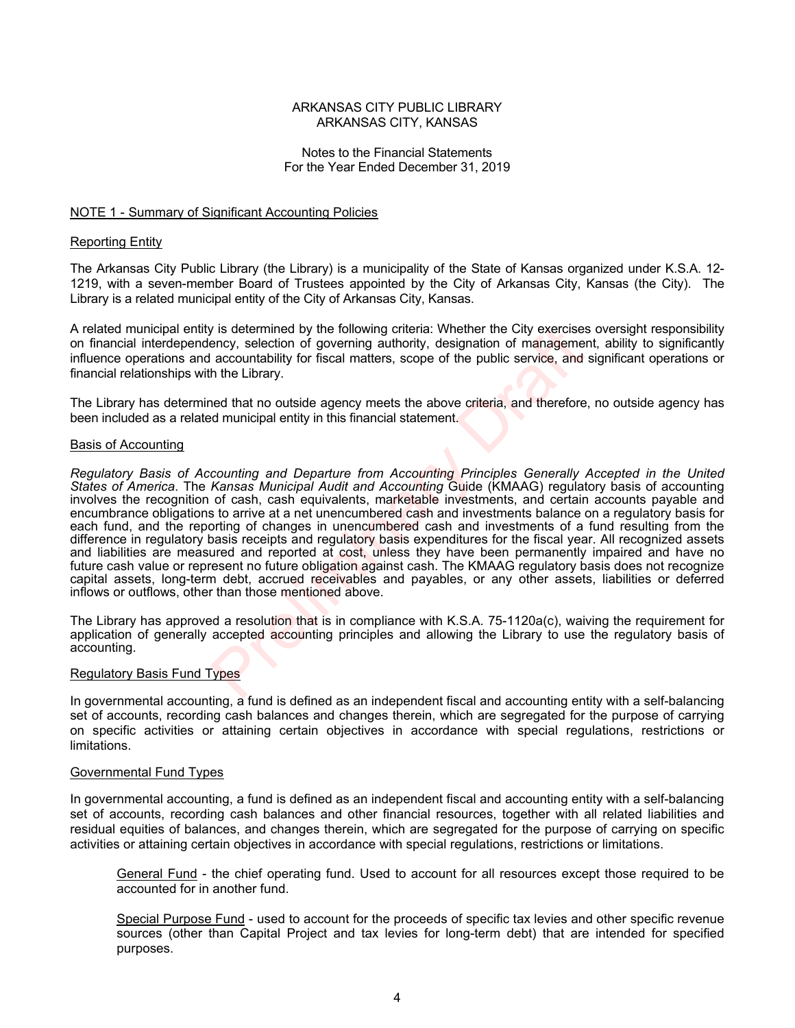## Notes to the Financial Statements For the Year Ended December 31, 2019

## NOTE 1 - Summary of Significant Accounting Policies

#### Reporting Entity

The Arkansas City Public Library (the Library) is a municipality of the State of Kansas organized under K.S.A. 12- 1219, with a seven-member Board of Trustees appointed by the City of Arkansas City, Kansas (the City). The Library is a related municipal entity of the City of Arkansas City, Kansas.

A related municipal entity is determined by the following criteria: Whether the City exercises oversight responsibility on financial interdependency, selection of governing authority, designation of management, ability to significantly influence operations and accountability for fiscal matters, scope of the public service, and significant operations or financial relationships with the Library.

The Library has determined that no outside agency meets the above criteria, and therefore, no outside agency has been included as a related municipal entity in this financial statement.

#### Basis of Accounting

*Regulatory Basis of Accounting and Departure from Accounting Principles Generally Accepted in the United States of America*. The *Kansas Municipal Audit and Accounting* Guide (KMAAG) regulatory basis of accounting involves the recognition of cash, cash equivalents, marketable investments, and certain accounts payable and encumbrance obligations to arrive at a net unencumbered cash and investments balance on a regulatory basis for each fund, and the reporting of changes in unencumbered cash and investments of a fund resulting from the difference in regulatory basis receipts and regulatory basis expenditures for the fiscal year. All recognized assets and liabilities are measured and reported at cost, unless they have been permanently impaired and have no future cash value or represent no future obligation against cash. The KMAAG regulatory basis does not recognize capital assets, long-term debt, accrued receivables and payables, or any other assets, liabilities or deferred inflows or outflows, other than those mentioned above. is determined by the following criteria: Whether the City exercise<br>encry, selection of governing authority, designation of manageme<br>accountability for fiscal matters, scope of the public service, and<br>the Library.<br>and that

The Library has approved a resolution that is in compliance with K.S.A. 75-1120a(c), waiving the requirement for application of generally accepted accounting principles and allowing the Library to use the regulatory basis of accounting.

#### Regulatory Basis Fund Types

In governmental accounting, a fund is defined as an independent fiscal and accounting entity with a self-balancing set of accounts, recording cash balances and changes therein, which are segregated for the purpose of carrying on specific activities or attaining certain objectives in accordance with special regulations, restrictions or limitations.

#### Governmental Fund Types

In governmental accounting, a fund is defined as an independent fiscal and accounting entity with a self-balancing set of accounts, recording cash balances and other financial resources, together with all related liabilities and residual equities of balances, and changes therein, which are segregated for the purpose of carrying on specific activities or attaining certain objectives in accordance with special regulations, restrictions or limitations.

General Fund - the chief operating fund. Used to account for all resources except those required to be accounted for in another fund.

Special Purpose Fund - used to account for the proceeds of specific tax levies and other specific revenue sources (other than Capital Project and tax levies for long-term debt) that are intended for specified purposes.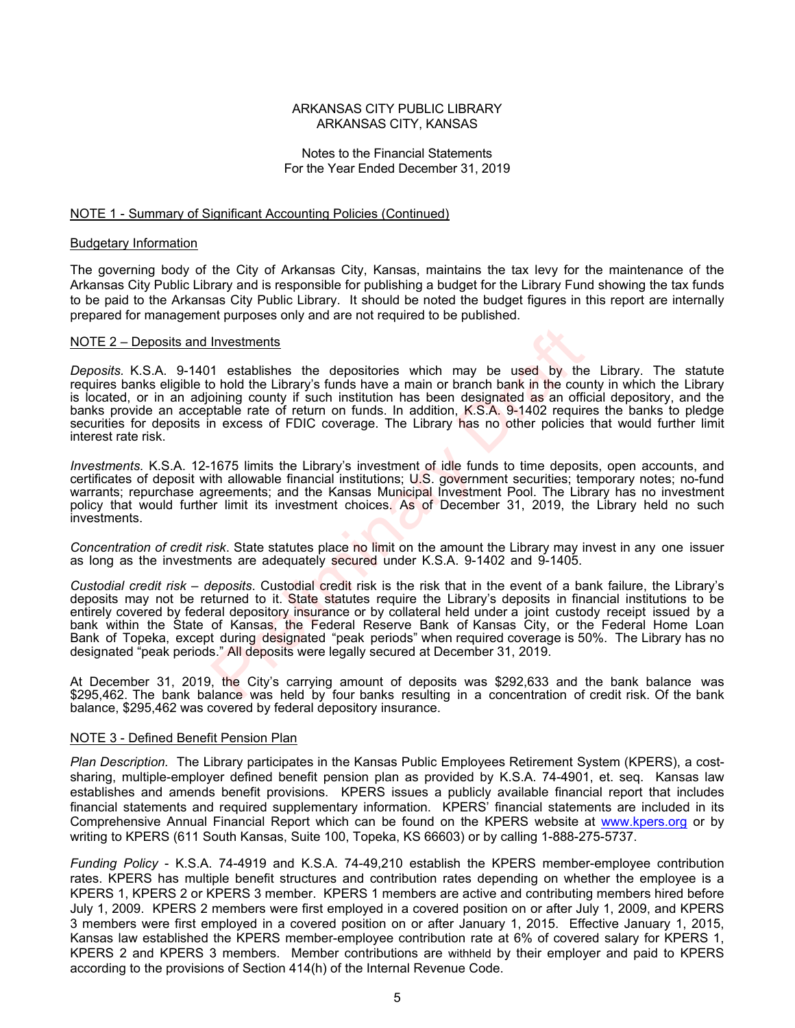## Notes to the Financial Statements For the Year Ended December 31, 2019

#### NOTE 1 - Summary of Significant Accounting Policies (Continued)

#### Budgetary Information

The governing body of the City of Arkansas City, Kansas, maintains the tax levy for the maintenance of the Arkansas City Public Library and is responsible for publishing a budget for the Library Fund showing the tax funds to be paid to the Arkansas City Public Library. It should be noted the budget figures in this report are internally prepared for management purposes only and are not required to be published.

#### NOTE 2 – Deposits and Investments

*Deposits.* K.S.A. 9-1401 establishes the depositories which may be used by the Library. The statute requires banks eligible to hold the Library's funds have a main or branch bank in the county in which the Library is located, or in an adjoining county if such institution has been designated as an official depository, and the banks provide an acceptable rate of return on funds. In addition, K.S.A. 9-1402 requires the banks to pledge securities for deposits in excess of FDIC coverage. The Library has no other policies that would further limit interest rate risk. Investments<br>
1 establishes the depositories which may be used by the bolid the Library's funds have a main or branch bank in the courding county if such institution has been designated as an offitable rate of return on fun

*Investments.* K.S.A. 12-1675 limits the Library's investment of idle funds to time deposits, open accounts, and certificates of deposit with allowable financial institutions; U.S. government securities; temporary notes; no-fund warrants; repurchase agreements; and the Kansas Municipal Investment Pool. The Library has no investment policy that would further limit its investment choices. As of December 31, 2019, the Library held no such investments.

*Concentration of credit risk*. State statutes place no limit on the amount the Library may invest in any one issuer as long as the investments are adequately secured under K.S.A. 9-1402 and 9-1405.

*Custodial credit risk – deposits*. Custodial credit risk is the risk that in the event of a bank failure, the Library's deposits may not be returned to it. State statutes require the Library's deposits in financial institutions to be entirely covered by federal depository insurance or by collateral held under a joint custody receipt issued by a bank within the State of Kansas, the Federal Reserve Bank of Kansas City, or the Federal Home Loan Bank of Topeka, except during designated "peak periods" when required coverage is 50%. The Library has no designated "peak periods." All deposits were legally secured at December 31, 2019.

At December 31, 2019, the City's carrying amount of deposits was \$292,633 and the bank balance was \$295,462. The bank balance was held by four banks resulting in a concentration of credit risk. Of the bank balance, \$295,462 was covered by federal depository insurance.

#### NOTE 3 - Defined Benefit Pension Plan

*Plan Description.* The Library participates in the Kansas Public Employees Retirement System (KPERS), a costsharing, multiple-employer defined benefit pension plan as provided by K.S.A. 74-4901, et. seq. Kansas law establishes and amends benefit provisions. KPERS issues a publicly available financial report that includes financial statements and required supplementary information. KPERS' financial statements are included in its Comprehensive Annual Financial Report which can be found on the KPERS website at www.kpers.org or by writing to KPERS (611 South Kansas, Suite 100, Topeka, KS 66603) or by calling 1-888-275-5737.

*Funding Policy* - K.S.A. 74-4919 and K.S.A. 74-49,210 establish the KPERS member-employee contribution rates. KPERS has multiple benefit structures and contribution rates depending on whether the employee is a KPERS 1, KPERS 2 or KPERS 3 member. KPERS 1 members are active and contributing members hired before July 1, 2009. KPERS 2 members were first employed in a covered position on or after July 1, 2009, and KPERS 3 members were first employed in a covered position on or after January 1, 2015. Effective January 1, 2015, Kansas law established the KPERS member-employee contribution rate at 6% of covered salary for KPERS 1, KPERS 2 and KPERS 3 members. Member contributions are withheld by their employer and paid to KPERS according to the provisions of Section 414(h) of the Internal Revenue Code.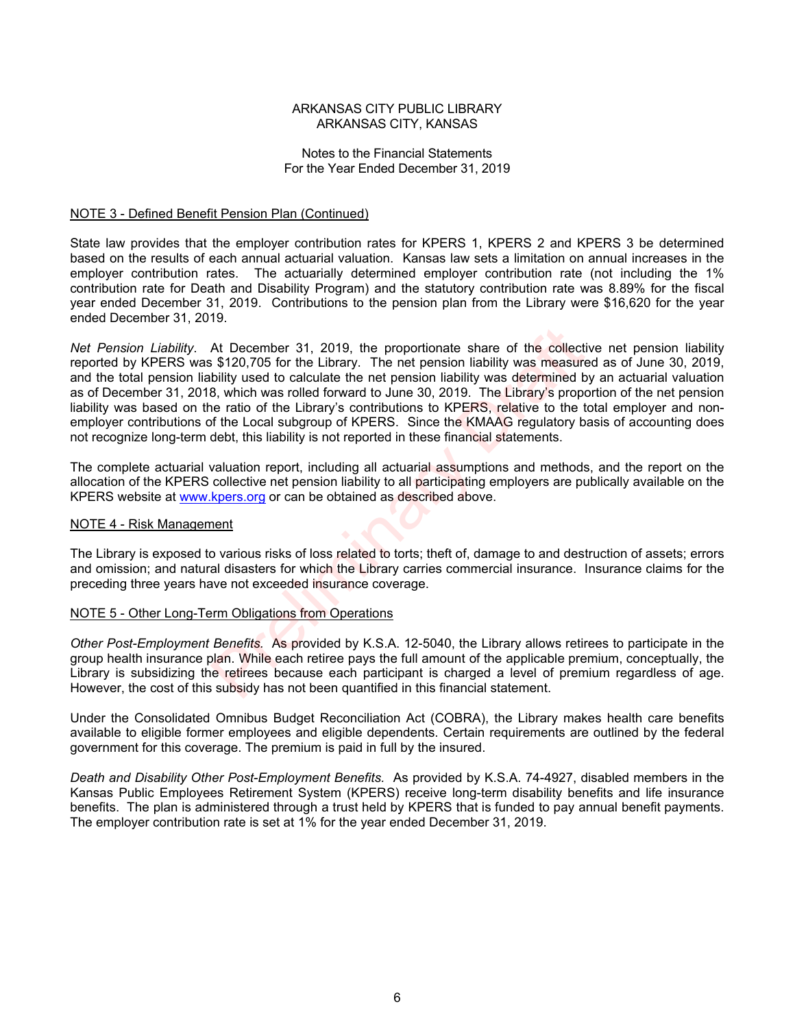## Notes to the Financial Statements For the Year Ended December 31, 2019

## NOTE 3 - Defined Benefit Pension Plan (Continued)

State law provides that the employer contribution rates for KPERS 1, KPERS 2 and KPERS 3 be determined based on the results of each annual actuarial valuation. Kansas law sets a limitation on annual increases in the employer contribution rates. The actuarially determined employer contribution rate (not including the 1% contribution rate for Death and Disability Program) and the statutory contribution rate was 8.89% for the fiscal year ended December 31, 2019. Contributions to the pension plan from the Library were \$16,620 for the year ended December 31, 2019.

*Net Pension Liability*. At December 31, 2019, the proportionate share of the collective net pension liability reported by KPERS was \$120,705 for the Library. The net pension liability was measured as of June 30, 2019, and the total pension liability used to calculate the net pension liability was determined by an actuarial valuation as of December 31, 2018, which was rolled forward to June 30, 2019. The Library's proportion of the net pension liability was based on the ratio of the Library's contributions to KPERS, relative to the total employer and nonemployer contributions of the Local subgroup of KPERS. Since the KMAAG regulatory basis of accounting does not recognize long-term debt, this liability is not reported in these financial statements. At December 31, 2019, the proportionate share of the collect \$120,705 for the Library. The net pension liability was measure bility used to calculate the net pension liability was determined b, which was rolled forward to

The complete actuarial valuation report, including all actuarial assumptions and methods, and the report on the allocation of the KPERS collective net pension liability to all participating employers are publically available on the KPERS website at www.kpers.org or can be obtained as described above.

#### NOTE 4 - Risk Management

The Library is exposed to various risks of loss related to torts; theft of, damage to and destruction of assets; errors and omission; and natural disasters for which the Library carries commercial insurance. Insurance claims for the preceding three years have not exceeded insurance coverage.

## NOTE 5 - Other Long-Term Obligations from Operations

*Other Post-Employment Benefits.* As provided by K.S.A. 12-5040, the Library allows retirees to participate in the group health insurance plan. While each retiree pays the full amount of the applicable premium, conceptually, the Library is subsidizing the retirees because each participant is charged a level of premium regardless of age. However, the cost of this subsidy has not been quantified in this financial statement.

Under the Consolidated Omnibus Budget Reconciliation Act (COBRA), the Library makes health care benefits available to eligible former employees and eligible dependents. Certain requirements are outlined by the federal government for this coverage. The premium is paid in full by the insured.

*Death and Disability Other Post-Employment Benefits.* As provided by K.S.A. 74-4927, disabled members in the Kansas Public Employees Retirement System (KPERS) receive long-term disability benefits and life insurance benefits. The plan is administered through a trust held by KPERS that is funded to pay annual benefit payments. The employer contribution rate is set at 1% for the year ended December 31, 2019.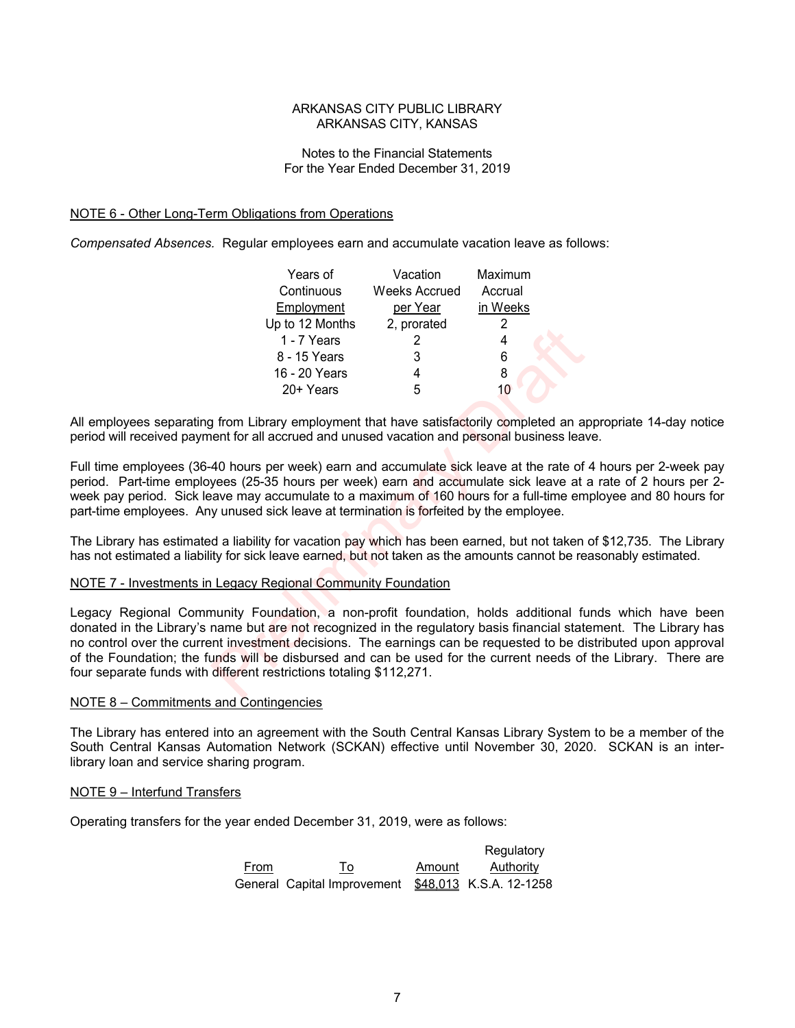## Notes to the Financial Statements For the Year Ended December 31, 2019

## NOTE 6 - Other Long-Term Obligations from Operations

*Compensated Absences.* Regular employees earn and accumulate vacation leave as follows:

| Years of        | Vacation             | Maximum  |
|-----------------|----------------------|----------|
| Continuous      | <b>Weeks Accrued</b> | Accrual  |
| Employment      | per Year             | in Weeks |
| Up to 12 Months | 2, prorated          | 2        |
| 1 - 7 Years     | 2                    |          |
| 8 - 15 Years    | 3                    | 6        |
| 16 - 20 Years   |                      | 8        |
| 20+ Years       | 5                    |          |

All employees separating from Library employment that have satisfactorily completed an appropriate 14-day notice period will received payment for all accrued and unused vacation and personal business leave.

Full time employees (36-40 hours per week) earn and accumulate sick leave at the rate of 4 hours per 2-week pay period. Part-time employees (25-35 hours per week) earn and accumulate sick leave at a rate of 2 hours per 2 week pay period. Sick leave may accumulate to a maximum of 160 hours for a full-time employee and 80 hours for part-time employees. Any unused sick leave at termination is forfeited by the employee.

The Library has estimated a liability for vacation pay which has been earned, but not taken of \$12,735. The Library has not estimated a liability for sick leave earned, but not taken as the amounts cannot be reasonably estimated.

#### NOTE 7 - Investments in Legacy Regional Community Foundation

Legacy Regional Community Foundation, a non-profit foundation, holds additional funds which have been donated in the Library's name but are not recognized in the regulatory basis financial statement. The Library has no control over the current investment decisions. The earnings can be requested to be distributed upon approval of the Foundation; the funds will be disbursed and can be used for the current needs of the Library. There are four separate funds with different restrictions totaling \$112,271. 1-7 Years 2<br>
1-7 Years 2<br>
8-15 Years 3<br>
16-20 Years 4<br>
20+ Years 5<br>
10<br>
16-20 Years 4<br>
20+ Years 5<br>
10<br>
20+ Years 5<br>
20+ Years 5<br>
20+ Years 5<br>
20+ Years 5<br>
20+ Years 5<br>
20+ Years 5<br>
20+ Years 6<br>
20+ Years 7<br>
20+ Years 7<br>
2

## NOTE 8 – Commitments and Contingencies

The Library has entered into an agreement with the South Central Kansas Library System to be a member of the South Central Kansas Automation Network (SCKAN) effective until November 30, 2020. SCKAN is an interlibrary loan and service sharing program.

#### NOTE 9 – Interfund Transfers

Operating transfers for the year ended December 31, 2019, were as follows:

|      |                                                     |        | Regulatory |
|------|-----------------------------------------------------|--------|------------|
| From | To                                                  | Amount | Authority  |
|      | General Capital Improvement \$48.013 K.S.A. 12-1258 |        |            |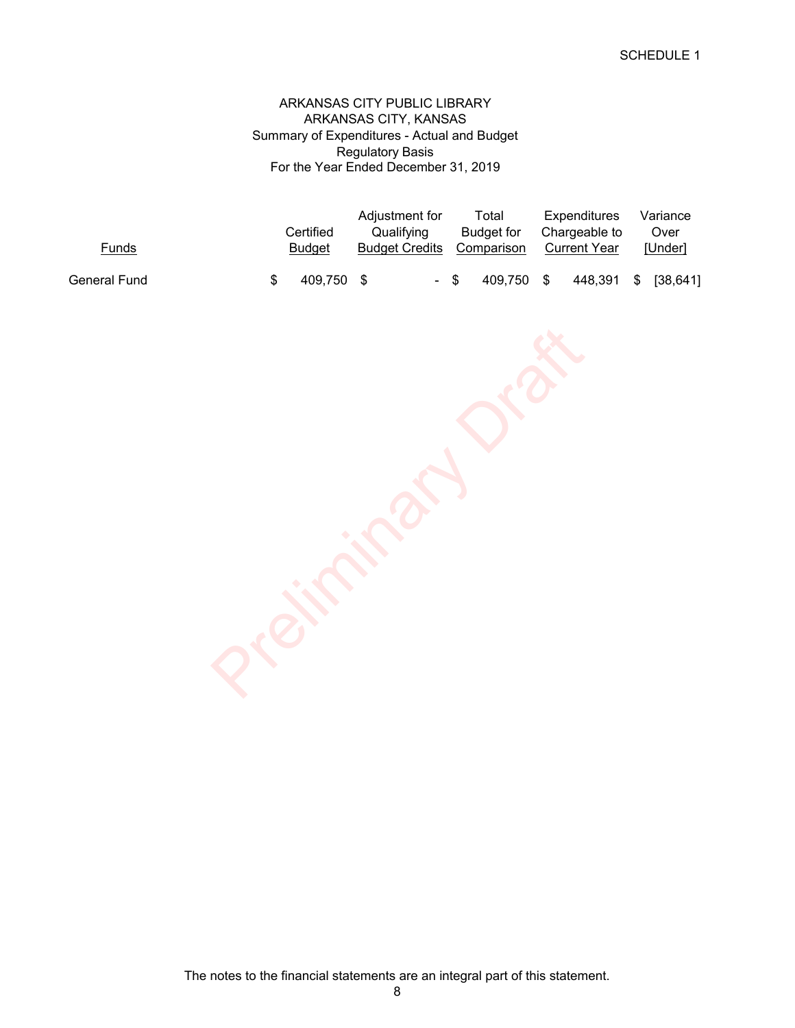Summary of Expenditures - Actual and Budget Regulatory Basis ARKANSAS CITY PUBLIC LIBRARY For the Year Ended December 31, 2019 ARKANSAS CITY, KANSAS

|              |               | Adjustment for        | Total             | Expenditures        | Variance            |
|--------------|---------------|-----------------------|-------------------|---------------------|---------------------|
|              | Certified     | Qualifving            | <b>Budget</b> for | Chargeable to       | Over                |
| Funds        | <b>Budget</b> | <b>Budget Credits</b> | Comparison        | <b>Current Year</b> | <b>IUnderl</b>      |
| General Fund | 409.750 \$    | - \$                  | 409.750 \$        |                     | 448,391 \$ [38,641] |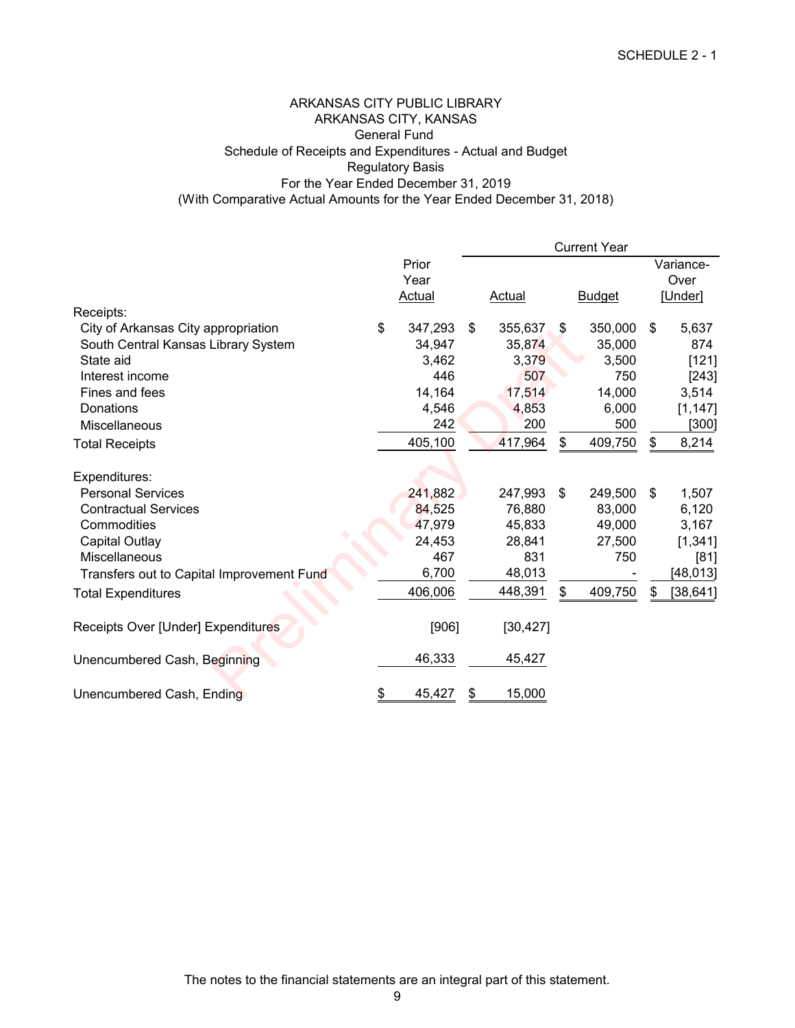# (With Comparative Actual Amounts for the Year Ended December 31, 2018) ARKANSAS CITY PUBLIC LIBRARY ARKANSAS CITY, KANSAS General Fund Schedule of Receipts and Expenditures - Actual and Budget For the Year Ended December 31, 2019 Regulatory Basis

|                                           |               | <b>Current Year</b> |           |    |               |    |           |
|-------------------------------------------|---------------|---------------------|-----------|----|---------------|----|-----------|
|                                           | Prior         |                     |           |    |               |    | Variance- |
|                                           | Year          |                     |           |    |               |    | Over      |
|                                           | Actual        |                     | Actual    |    | <b>Budget</b> |    | [Under]   |
| Receipts:                                 |               |                     |           |    |               |    |           |
| City of Arkansas City appropriation       | \$<br>347,293 | \$                  | 355,637   | \$ | 350,000       | \$ | 5,637     |
| South Central Kansas Library System       | 34,947        |                     | 35,874    |    | 35,000        |    | 874       |
| State aid                                 | 3,462         |                     | 3,379     |    | 3,500         |    | [121]     |
| Interest income                           | 446           |                     | 507       |    | 750           |    | [243]     |
| Fines and fees                            | 14,164        |                     | 17,514    |    | 14,000        |    | 3,514     |
| Donations                                 | 4,546         |                     | 4,853     |    | 6,000         |    | [1, 147]  |
| Miscellaneous                             | 242           |                     | 200       |    | 500           |    | $[300]$   |
| <b>Total Receipts</b>                     | 405,100       |                     | 417,964   | \$ | 409,750       | \$ | 8,214     |
|                                           |               |                     |           |    |               |    |           |
| Expenditures:                             |               |                     |           |    |               |    |           |
| <b>Personal Services</b>                  | 241,882       |                     | 247,993   | \$ | 249,500       | \$ | 1,507     |
| <b>Contractual Services</b>               | 84,525        |                     | 76,880    |    | 83,000        |    | 6,120     |
| Commodities                               | 47,979        |                     | 45,833    |    | 49,000        |    | 3,167     |
| <b>Capital Outlay</b>                     | 24,453        |                     | 28,841    |    | 27,500        |    | [1, 341]  |
| Miscellaneous                             | 467           |                     | 831       |    | 750           |    | [81]      |
| Transfers out to Capital Improvement Fund | 6,700         |                     | 48,013    |    |               |    | [48, 013] |
| <b>Total Expenditures</b>                 | 406,006       |                     | 448,391   | \$ | 409,750       |    | [38, 641] |
| Receipts Over [Under] Expenditures        | [906]         |                     | [30, 427] |    |               |    |           |
| Unencumbered Cash, Beginning              | 46,333        |                     | 45,427    |    |               |    |           |
| Unencumbered Cash, Ending                 | \$<br>45,427  | \$                  | 15,000    |    |               |    |           |

The notes to the financial statements are an integral part of this statement.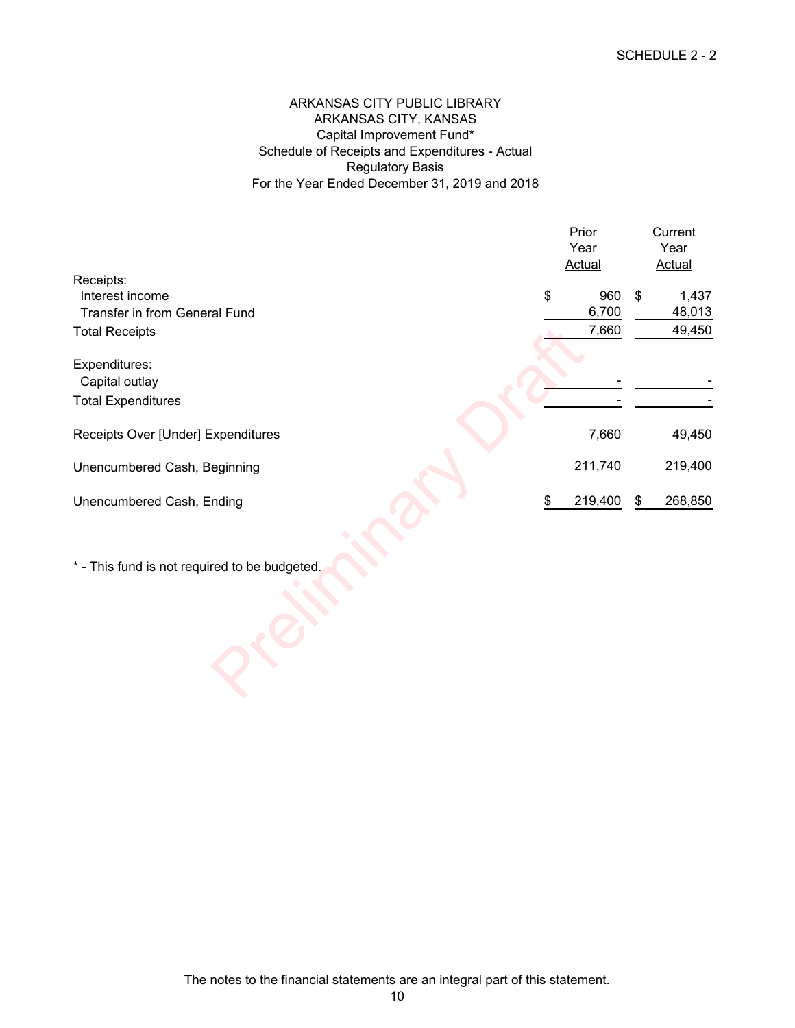# ARKANSAS CITY PUBLIC LIBRARY ARKANSAS CITY, KANSAS Capital Improvement Fund\* Schedule of Receipts and Expenditures - Actual Regulatory Basis For the Year Ended December 31, 2019 and 2018

|                                               | Prior<br>Year<br><b>Actual</b> | Current<br>Year<br><b>Actual</b> |
|-----------------------------------------------|--------------------------------|----------------------------------|
| Receipts:                                     |                                |                                  |
| Interest income                               | \$<br>960                      | \$<br>1,437                      |
| Transfer in from General Fund                 | 6,700                          | 48,013                           |
| <b>Total Receipts</b>                         | 7,660                          | 49,450                           |
|                                               |                                |                                  |
| Expenditures:                                 |                                |                                  |
| Capital outlay                                |                                |                                  |
| <b>Total Expenditures</b>                     |                                |                                  |
| Receipts Over [Under] Expenditures            | 7,660                          | 49,450                           |
| Unencumbered Cash, Beginning                  | 211,740                        | 219,400                          |
| Unencumbered Cash, Ending                     | \$<br>219,400                  | \$<br>268,850                    |
|                                               |                                |                                  |
| * - This fund is not required to be budgeted. |                                |                                  |
|                                               |                                |                                  |
|                                               |                                |                                  |